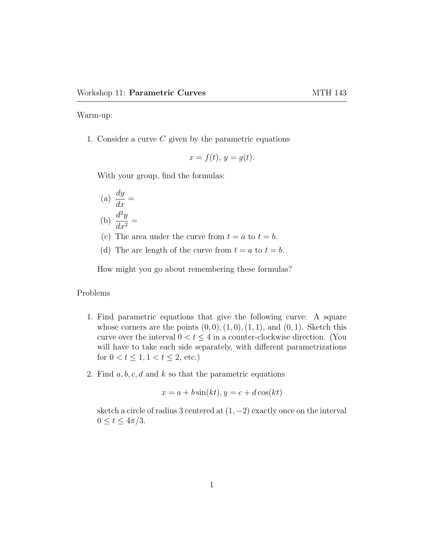Warm-up:

1. Consider a curve  $C$  given by the parametric equations

$$
x = f(t), y = g(t).
$$

With your group, find the formulas:

- (a)  $\frac{dy}{dx}$  $\frac{dy}{dx} =$ (b)  $\frac{d^2y}{dx^2}$  $\frac{d^2y}{dx^2} =$
- (c) The area under the curve from  $t = a$  to  $t = b$ .
- (d) The arc length of the curve from  $t = a$  to  $t = b$ .

How might you go about remembering these formulas?

## Problems

- 1. Find parametric equations that give the following curve: A square whose corners are the points  $(0, 0), (1, 0), (1, 1),$  and  $(0, 1)$ . Sketch this curve over the interval  $0 < t \leq 4$  in a counter-clockwise direction. (You will have to take each side separately, with different parametrizations for  $0 < t \leq 1, 1 < t \leq 2$ , etc.)
- 2. Find  $a, b, c, d$  and k so that the parametric equations

$$
x = a + b\sin(kt), y = c + d\cos(kt)
$$

sketch a circle of radius 3 centered at  $(1, -2)$  exactly once on the interval  $0 \leq t \leq 4\pi/3$ .